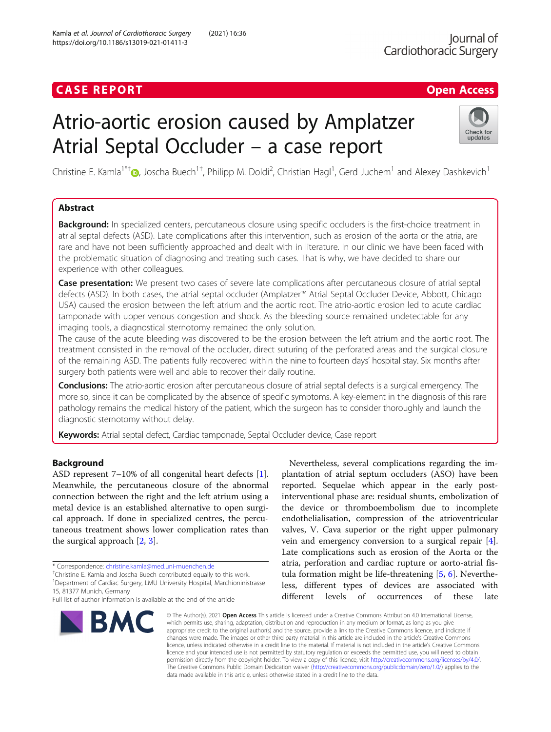## **CASE REPORT CASE ACCESS**

# Atrio-aortic erosion caused by Amplatzer Atrial Septal Occluder – a case report



Christine E. Kamla<sup>1\*†</sup>®, Joscha Buech<sup>1†</sup>, Philipp M. Doldi<sup>2</sup>, Christian Hagl<sup>1</sup>, Gerd Juchem<sup>1</sup> and Alexey Dashkevich<sup>1</sup>

### Abstract

Background: In specialized centers, percutaneous closure using specific occluders is the first-choice treatment in atrial septal defects (ASD). Late complications after this intervention, such as erosion of the aorta or the atria, are rare and have not been sufficiently approached and dealt with in literature. In our clinic we have been faced with the problematic situation of diagnosing and treating such cases. That is why, we have decided to share our experience with other colleagues.

Case presentation: We present two cases of severe late complications after percutaneous closure of atrial septal defects (ASD). In both cases, the atrial septal occluder (Amplatzer™ Atrial Septal Occluder Device, Abbott, Chicago USA) caused the erosion between the left atrium and the aortic root. The atrio-aortic erosion led to acute cardiac tamponade with upper venous congestion and shock. As the bleeding source remained undetectable for any imaging tools, a diagnostical sternotomy remained the only solution.

The cause of the acute bleeding was discovered to be the erosion between the left atrium and the aortic root. The treatment consisted in the removal of the occluder, direct suturing of the perforated areas and the surgical closure of the remaining ASD. The patients fully recovered within the nine to fourteen days' hospital stay. Six months after surgery both patients were well and able to recover their daily routine.

**Conclusions:** The atrio-aortic erosion after percutaneous closure of atrial septal defects is a surgical emergency. The more so, since it can be complicated by the absence of specific symptoms. A key-element in the diagnosis of this rare pathology remains the medical history of the patient, which the surgeon has to consider thoroughly and launch the diagnostic sternotomy without delay.

Keywords: Atrial septal defect, Cardiac tamponade, Septal Occluder device, Case report

### Background

ASD represent 7–10% of all congenital heart defects [\[1](#page-3-0)]. Meanwhile, the percutaneous closure of the abnormal connection between the right and the left atrium using a metal device is an established alternative to open surgical approach. If done in specialized centres, the percutaneous treatment shows lower complication rates than the surgical approach [[2,](#page-3-0) [3\]](#page-3-0).

Full list of author information is available at the end of the article



Nevertheless, several complications regarding the implantation of atrial septum occluders (ASO) have been reported. Sequelae which appear in the early postinterventional phase are: residual shunts, embolization of the device or thromboembolism due to incomplete endothelialisation, compression of the atrioventricular valves, V. Cava superior or the right upper pulmonary vein and emergency conversion to a surgical repair [\[4](#page-3-0)]. Late complications such as erosion of the Aorta or the atria, perforation and cardiac rupture or aorto-atrial fistula formation might be life-threatening [[5](#page-3-0), [6](#page-3-0)]. Nevertheless, different types of devices are associated with different levels of occurrences of these late

© The Author(s), 2021 **Open Access** This article is licensed under a Creative Commons Attribution 4.0 International License, which permits use, sharing, adaptation, distribution and reproduction in any medium or format, as long as you give appropriate credit to the original author(s) and the source, provide a link to the Creative Commons licence, and indicate if changes were made. The images or other third party material in this article are included in the article's Creative Commons licence, unless indicated otherwise in a credit line to the material. If material is not included in the article's Creative Commons licence and your intended use is not permitted by statutory regulation or exceeds the permitted use, you will need to obtain permission directly from the copyright holder. To view a copy of this licence, visit [http://creativecommons.org/licenses/by/4.0/.](http://creativecommons.org/licenses/by/4.0/) The Creative Commons Public Domain Dedication waiver [\(http://creativecommons.org/publicdomain/zero/1.0/](http://creativecommons.org/publicdomain/zero/1.0/)) applies to the data made available in this article, unless otherwise stated in a credit line to the data.

<sup>\*</sup> Correspondence: [christine.kamla@med.uni-muenchen.de](mailto:christine.kamla@med.uni-muenchen.de) †

<sup>&</sup>lt;sup>+</sup>Christine E. Kamla and Joscha Buech contributed equally to this work. <sup>1</sup>Department of Cardiac Surgery, LMU University Hospital, Marchioninistrasse 15, 81377 Munich, Germany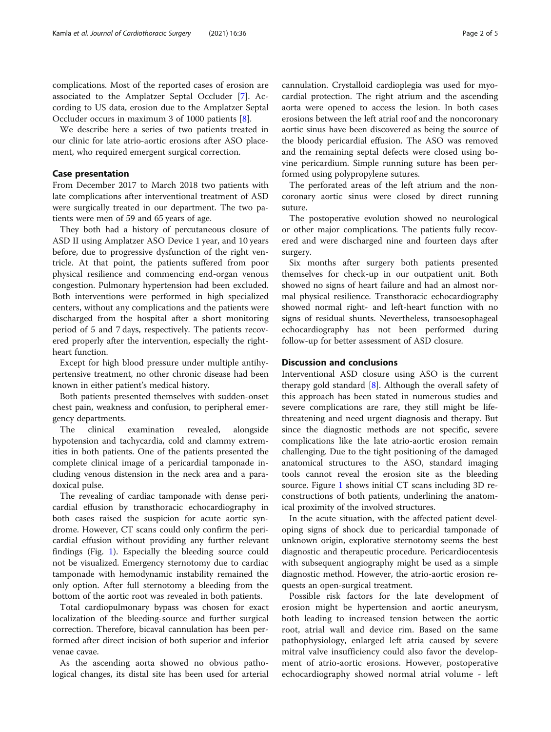complications. Most of the reported cases of erosion are associated to the Amplatzer Septal Occluder [[7\]](#page-3-0). According to US data, erosion due to the Amplatzer Septal Occluder occurs in maximum 3 of 1000 patients [[8\]](#page-3-0).

We describe here a series of two patients treated in our clinic for late atrio-aortic erosions after ASO placement, who required emergent surgical correction.

#### Case presentation

From December 2017 to March 2018 two patients with late complications after interventional treatment of ASD were surgically treated in our department. The two patients were men of 59 and 65 years of age.

They both had a history of percutaneous closure of ASD II using Amplatzer ASO Device 1 year, and 10 years before, due to progressive dysfunction of the right ventricle. At that point, the patients suffered from poor physical resilience and commencing end-organ venous congestion. Pulmonary hypertension had been excluded. Both interventions were performed in high specialized centers, without any complications and the patients were discharged from the hospital after a short monitoring period of 5 and 7 days, respectively. The patients recovered properly after the intervention, especially the rightheart function.

Except for high blood pressure under multiple antihypertensive treatment, no other chronic disease had been known in either patient's medical history.

Both patients presented themselves with sudden-onset chest pain, weakness and confusion, to peripheral emergency departments.

The clinical examination revealed, alongside hypotension and tachycardia, cold and clammy extremities in both patients. One of the patients presented the complete clinical image of a pericardial tamponade including venous distension in the neck area and a paradoxical pulse.

The revealing of cardiac tamponade with dense pericardial effusion by transthoracic echocardiography in both cases raised the suspicion for acute aortic syndrome. However, CT scans could only confirm the pericardial effusion without providing any further relevant findings (Fig. [1](#page-2-0)). Especially the bleeding source could not be visualized. Emergency sternotomy due to cardiac tamponade with hemodynamic instability remained the only option. After full sternotomy a bleeding from the bottom of the aortic root was revealed in both patients.

Total cardiopulmonary bypass was chosen for exact localization of the bleeding-source and further surgical correction. Therefore, bicaval cannulation has been performed after direct incision of both superior and inferior venae cavae.

As the ascending aorta showed no obvious pathological changes, its distal site has been used for arterial cannulation. Crystalloid cardioplegia was used for myocardial protection. The right atrium and the ascending aorta were opened to access the lesion. In both cases erosions between the left atrial roof and the noncoronary aortic sinus have been discovered as being the source of the bloody pericardial effusion. The ASO was removed and the remaining septal defects were closed using bovine pericardium. Simple running suture has been performed using polypropylene sutures.

The perforated areas of the left atrium and the noncoronary aortic sinus were closed by direct running suture.

The postoperative evolution showed no neurological or other major complications. The patients fully recovered and were discharged nine and fourteen days after surgery.

Six months after surgery both patients presented themselves for check-up in our outpatient unit. Both showed no signs of heart failure and had an almost normal physical resilience. Transthoracic echocardiography showed normal right- and left-heart function with no signs of residual shunts. Nevertheless, transoesophageal echocardiography has not been performed during follow-up for better assessment of ASD closure.

#### Discussion and conclusions

Interventional ASD closure using ASO is the current therapy gold standard  $[8]$  $[8]$ . Although the overall safety of this approach has been stated in numerous studies and severe complications are rare, they still might be lifethreatening and need urgent diagnosis and therapy. But since the diagnostic methods are not specific, severe complications like the late atrio-aortic erosion remain challenging. Due to the tight positioning of the damaged anatomical structures to the ASO, standard imaging tools cannot reveal the erosion site as the bleeding source. Figure [1](#page-2-0) shows initial CT scans including 3D reconstructions of both patients, underlining the anatomical proximity of the involved structures.

In the acute situation, with the affected patient developing signs of shock due to pericardial tamponade of unknown origin, explorative sternotomy seems the best diagnostic and therapeutic procedure. Pericardiocentesis with subsequent angiography might be used as a simple diagnostic method. However, the atrio-aortic erosion requests an open-surgical treatment.

Possible risk factors for the late development of erosion might be hypertension and aortic aneurysm, both leading to increased tension between the aortic root, atrial wall and device rim. Based on the same pathophysiology, enlarged left atria caused by severe mitral valve insufficiency could also favor the development of atrio-aortic erosions. However, postoperative echocardiography showed normal atrial volume - left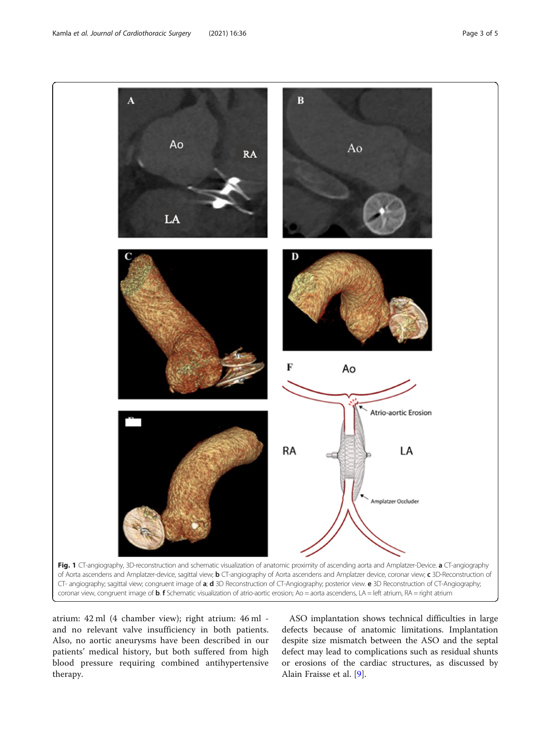<span id="page-2-0"></span>

atrium: 42 ml (4 chamber view); right atrium: 46 ml and no relevant valve insufficiency in both patients. Also, no aortic aneurysms have been described in our patients' medical history, but both suffered from high blood pressure requiring combined antihypertensive therapy.

ASO implantation shows technical difficulties in large defects because of anatomic limitations. Implantation despite size mismatch between the ASO and the septal defect may lead to complications such as residual shunts or erosions of the cardiac structures, as discussed by Alain Fraisse et al. [[9\]](#page-3-0).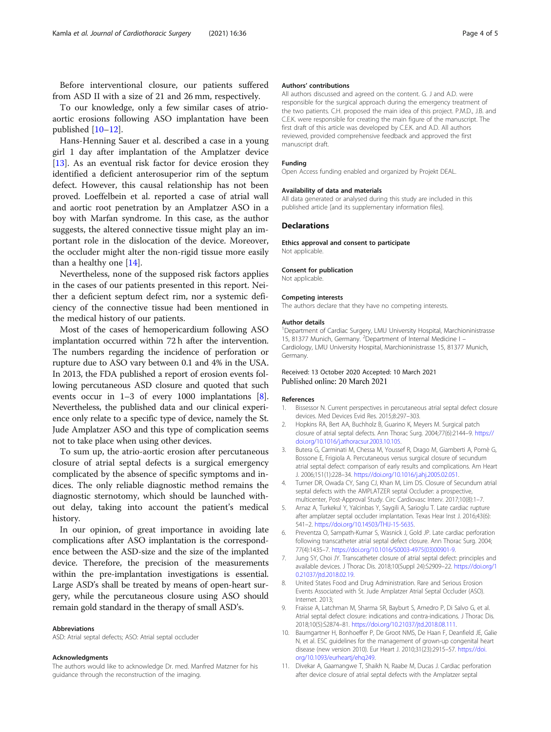<span id="page-3-0"></span>Before interventional closure, our patients suffered from ASD II with a size of 21 and 26 mm, respectively.

To our knowledge, only a few similar cases of atrioaortic erosions following ASO implantation have been published [10–[12\]](#page-4-0).

Hans-Henning Sauer et al. described a case in a young girl 1 day after implantation of the Amplatzer device [[13\]](#page-4-0). As an eventual risk factor for device erosion they identified a deficient anterosuperior rim of the septum defect. However, this causal relationship has not been proved. Loeffelbein et al. reported a case of atrial wall and aortic root penetration by an Amplatzer ASO in a boy with Marfan syndrome. In this case, as the author suggests, the altered connective tissue might play an important role in the dislocation of the device. Moreover, the occluder might alter the non-rigid tissue more easily than a healthy one [[14\]](#page-4-0).

Nevertheless, none of the supposed risk factors applies in the cases of our patients presented in this report. Neither a deficient septum defect rim, nor a systemic deficiency of the connective tissue had been mentioned in the medical history of our patients.

Most of the cases of hemopericardium following ASO implantation occurred within 72 h after the intervention. The numbers regarding the incidence of perforation or rupture due to ASO vary between 0.1 and 4% in the USA. In 2013, the FDA published a report of erosion events following percutaneous ASD closure and quoted that such events occur in 1–3 of every 1000 implantations [8]. Nevertheless, the published data and our clinical experience only relate to a specific type of device, namely the St. Jude Amplatzer ASO and this type of complication seems not to take place when using other devices.

To sum up, the atrio-aortic erosion after percutaneous closure of atrial septal defects is a surgical emergency complicated by the absence of specific symptoms and indices. The only reliable diagnostic method remains the diagnostic sternotomy, which should be launched without delay, taking into account the patient's medical history.

In our opinion, of great importance in avoiding late complications after ASO implantation is the correspondence between the ASD-size and the size of the implanted device. Therefore, the precision of the measurements within the pre-implantation investigations is essential. Large ASD's shall be treated by means of open-heart surgery, while the percutaneous closure using ASO should remain gold standard in the therapy of small ASD's.

#### Abbreviations

ASD: Atrial septal defects; ASO: Atrial septal occluder

#### Acknowledgments

The authors would like to acknowledge Dr. med. Manfred Matzner for his guidance through the reconstruction of the imaging.

#### Authors' contributions

All authors discussed and agreed on the content. G. J and A.D. were responsible for the surgical approach during the emergency treatment of the two patients. C.H. proposed the main idea of this project. P.M.D., J.B. and C.E.K. were responsible for creating the main figure of the manuscript. The first draft of this article was developed by C.E.K. and A.D. All authors reviewed, provided comprehensive feedback and approved the first manuscript draft.

#### Funding

Open Access funding enabled and organized by Projekt DEAL.

#### Availability of data and materials

All data generated or analysed during this study are included in this published article [and its supplementary information files].

#### **Declarations**

Ethics approval and consent to participate Not applicable.

#### Consent for publication

Not applicable.

#### Competing interests

The authors declare that they have no competing interests.

#### Author details

<sup>1</sup>Department of Cardiac Surgery, LMU University Hospital, Marchioninistrasse 15, 81377 Munich, Germany. <sup>2</sup>Department of Internal Medicine I -Cardiology, LMU University Hospital, Marchioninistrasse 15, 81377 Munich, Germany.

#### Received: 13 October 2020 Accepted: 10 March 2021 Published online: 20 March 2021

#### References

- 1. Bissessor N. Current perspectives in percutaneous atrial septal defect closure devices. Med Devices Evid Res. 2015;8:297–303.
- 2. Hopkins RA, Bert AA, Buchholz B, Guarino K, Meyers M. Surgical patch closure of atrial septal defects. Ann Thorac Surg. 2004;77(6):2144–9. [https://](https://doi.org/10.1016/j.athoracsur.2003.10.105) [doi.org/10.1016/j.athoracsur.2003.10.105.](https://doi.org/10.1016/j.athoracsur.2003.10.105)
- 3. Butera G, Carminati M, Chessa M, Youssef R, Drago M, Giamberti A, Pomè G, Bossone E, Frigiola A. Percutaneous versus surgical closure of secundum atrial septal defect: comparison of early results and complications. Am Heart J. 2006;151(1):228–34. <https://doi.org/10.1016/j.ahj.2005.02.051>.
- 4. Turner DR, Owada CY, Sang CJ, Khan M, Lim DS. Closure of Secundum atrial septal defects with the AMPLATZER septal Occluder: a prospective multicenter, Post-Approval Study. Circ Cardiovasc Interv. 2017;10(8):1–7.
- 5. Arnaz A, Turkekul Y, Yalcinbas Y, Saygili A, Sarioglu T. Late cardiac rupture after amplatzer septal occluder implantation. Texas Hear Inst J. 2016;43(6): 541–2. <https://doi.org/10.14503/THIJ-15-5635>.
- 6. Preventza O, Sampath-Kumar S, Wasnick J, Gold JP. Late cardiac perforation following transcatheter atrial septal defect closure. Ann Thorac Surg. 2004; 77(4):1435–7. [https://doi.org/10.1016/S0003-4975\(03\)00901-9.](https://doi.org/10.1016/S0003-4975(03)00901-9)
- 7. Jung SY, Choi JY. Transcatheter closure of atrial septal defect: principles and available devices. J Thorac Dis. 2018;10(Suppl 24):S2909–22. [https://doi.org/1](https://doi.org/10.21037/jtd.2018.02.19) [0.21037/jtd.2018.02.19](https://doi.org/10.21037/jtd.2018.02.19).
- 8. United States Food and Drug Administration. Rare and Serious Erosion Events Associated with St. Jude Amplatzer Atrial Septal Occluder (ASO). Internet. 2013;
- 9. Fraisse A, Latchman M, Sharma SR, Bayburt S, Amedro P, Di Salvo G, et al. Atrial septal defect closure: indications and contra-indications. J Thorac Dis. 2018;10(5):S2874–81. [https://doi.org/10.21037/jtd.2018.08.111.](https://doi.org/10.21037/jtd.2018.08.111)
- 10. Baumgartner H, Bonhoeffer P, De Groot NMS, De Haan F, Deanfield JE, Galie N, et al. ESC guidelines for the management of grown-up congenital heart disease (new version 2010). Eur Heart J. 2010;31(23):2915–57. [https://doi.](https://doi.org/10.1093/eurheartj/ehq249) [org/10.1093/eurheartj/ehq249](https://doi.org/10.1093/eurheartj/ehq249).
- 11. Divekar A, Gaamangwe T, Shaikh N, Raabe M, Ducas J. Cardiac perforation after device closure of atrial septal defects with the Amplatzer septal